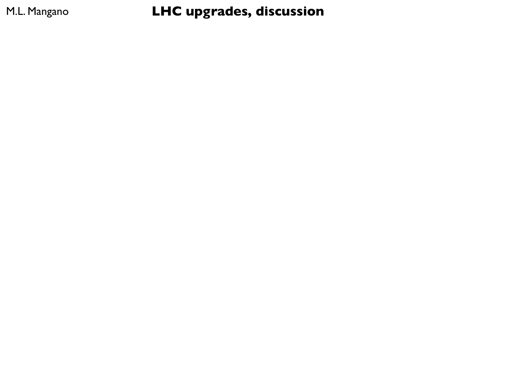M.L. Mangano **LHC upgrades, discussion**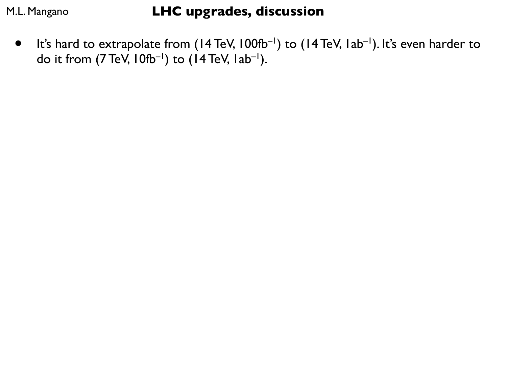• It's hard to extrapolate from (14 TeV, 100fb<sup>-1</sup>) to (14 TeV, 1ab<sup>-1</sup>). It's even harder to do it from  $(7 \text{ TeV}, 10 \text{ fb}^{-1})$  to  $(14 \text{ TeV}, 1ab^{-1})$ .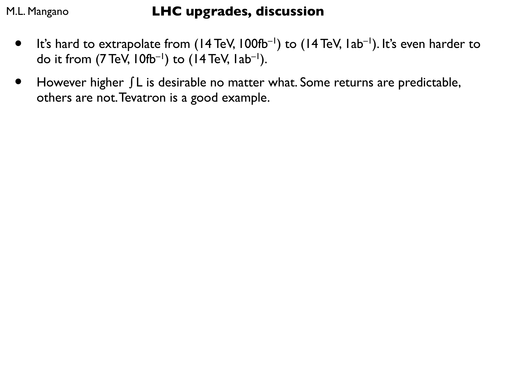- It's hard to extrapolate from  $(14 \text{ TeV}, 100 \text{ fb}^{-1})$  to  $(14 \text{ TeV}, 1ab^{-1})$ . It's even harder to do it from  $(7 \text{ TeV}, 10 \text{ fb}^{-1})$  to  $(14 \text{ TeV}, 1ab^{-1})$ .
- However higher ∫L is desirable no matter what. Some returns are predictable, others are not. Tevatron is a good example.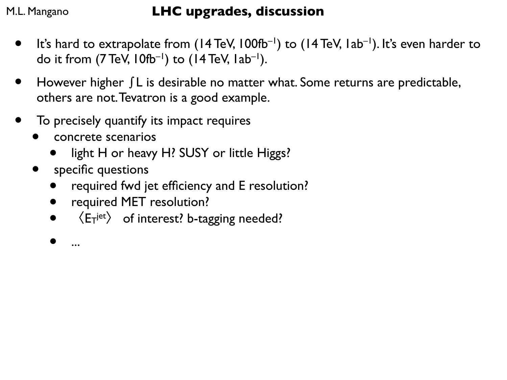- It's hard to extrapolate from  $(14 \text{ TeV}, 100 \text{fb}^{-1})$  to  $(14 \text{ TeV}, 1ab^{-1})$ . It's even harder to do it from  $(7 \text{ TeV}, 10 \text{ fb}^{-1})$  to  $(14 \text{ TeV}, 1ab^{-1})$ .
- However higher ∫L is desirable no matter what. Some returns are predictable, others are not. Tevatron is a good example.
- To precisely quantify its impact requires
	- concrete scenarios
		- light H or heavy H? SUSY or little Higgs?
	- specific questions
		- required fwd jet efficiency and E resolution?
		- required MET resolution?
		- $\langle E_T$ <sup>jet</sup> $\rangle$  of interest? b-tagging needed?
		- ...